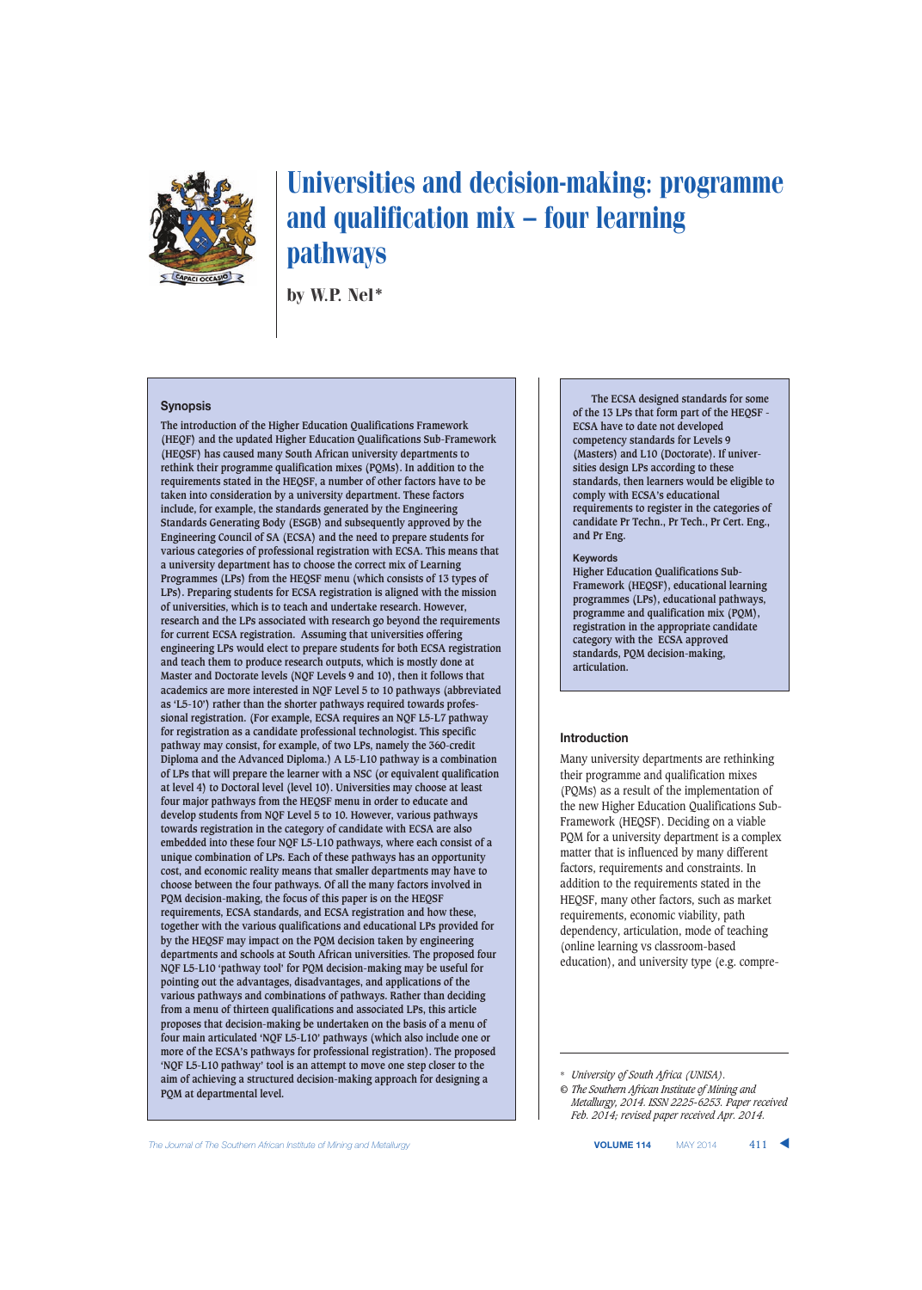

# Universities and decision-making: programme and qualification mix — four learning pathways

by W.P. Nel\*

#### **Synopsis**

**The introduction of the Higher Education Qualifications Framework (HEQF) and the updated Higher Education Qualifications Sub-Framework (HEQSF) has caused many South African university departments to rethink their programme qualification mixes (PQMs). In addition to the requirements stated in the HEQSF, a number of other factors have to be taken into consideration by a university department. These factors include, for example, the standards generated by the Engineering Standards Generating Body (ESGB) and subsequently approved by the Engineering Council of SA (ECSA) and the need to prepare students for various categories of professional registration with ECSA. This means that a university department has to choose the correct mix of Learning Programmes (LPs) from the HEQSF menu (which consists of 13 types of LPs). Preparing students for ECSA registration is aligned with the mission of universities, which is to teach and undertake research. However, research and the LPs associated with research go beyond the requirements for current ECSA registration. Assuming that universities offering engineering LPs would elect to prepare students for both ECSA registration and teach them to produce research outputs, which is mostly done at Master and Doctorate levels (NQF Levels 9 and 10), then it follows that academics are more interested in NQF Level 5 to 10 pathways (abbreviated as 'L5-10') rather than the shorter pathways required towards professional registration. (For example, ECSA requires an NQF L5-L7 pathway for registration as a candidate professional technologist. This specific pathway may consist, for example, of two LPs, namely the 360-credit Diploma and the Advanced Diploma.) A L5-L10 pathway is a combination of LPs that will prepare the learner with a NSC (or equivalent qualification at level 4) to Doctoral level (level 10). Universities may choose at least four major pathways from the HEQSF menu in order to educate and develop students from NQF Level 5 to 10. However, various pathways towards registration in the category of candidate with ECSA are also embedded into these four NQF L5-L10 pathways, where each consist of a unique combination of LPs. Each of these pathways has an opportunity cost, and economic reality means that smaller departments may have to choose between the four pathways. Of all the many factors involved in PQM decision-making, the focus of this paper is on the HEQSF requirements, ECSA standards, and ECSA registration and how these, together with the various qualifications and educational LPs provided for by the HEQSF may impact on the PQM decision taken by engineering departments and schools at South African universities. The proposed four NQF L5-L10 'pathway tool' for PQM decision-making may be useful for pointing out the advantages, disadvantages, and applications of the various pathways and combinations of pathways. Rather than deciding from a menu of thirteen qualifications and associated LPs, this article proposes that decision-making be undertaken on the basis of a menu of four main articulated 'NQF L5-L10' pathways (which also include one or more of the ECSA's pathways for professional registration). The proposed 'NQF L5-L10 pathway' tool is an attempt to move one step closer to the aim of achieving a structured decision-making approach for designing a PQM at departmental level.** 

**The ECSA designed standards for some of the 13 LPs that form part of the HEQSF - ECSA have to date not developed competency standards for Levels 9 (Masters) and L10 (Doctorate). If universities design LPs according to these standards, then learners would be eligible to comply with ECSA's educational requirements to register in the categories of candidate Pr Techn., Pr Tech., Pr Cert. Eng., and Pr Eng.**

#### **Keywords**

**Higher Education Qualifications Sub-Framework (HEQSF), educational learning programmes (LPs), educational pathways, programme and qualification mix (PQM), registration in the appropriate candidate category with the ECSA approved standards, PQM decision-making, articulation.**

#### **Introduction**

Many university departments are rethinking their programme and qualification mixes (PQMs) as a result of the implementation of the new Higher Education Qualifications Sub-Framework (HEQSF). Deciding on a viable PQM for a university department is a complex matter that is influenced by many different factors, requirements and constraints. In addition to the requirements stated in the HEQSF, many other factors, such as market requirements, economic viability, path dependency, articulation, mode of teaching (online learning vs classroom-based education), and university type (e.g. compre-

\* *University of South Africa (UNISA).*

**The Journal of The Southern African Institute of Mining and Metallurgy <b>VOLUME 114** MAY 2014 411 ▲

*<sup>©</sup> The Southern African Institute of Mining and Metallurgy, 2014. ISSN 2225-6253. Paper received Feb. 2014; revised paper received Apr. 2014.*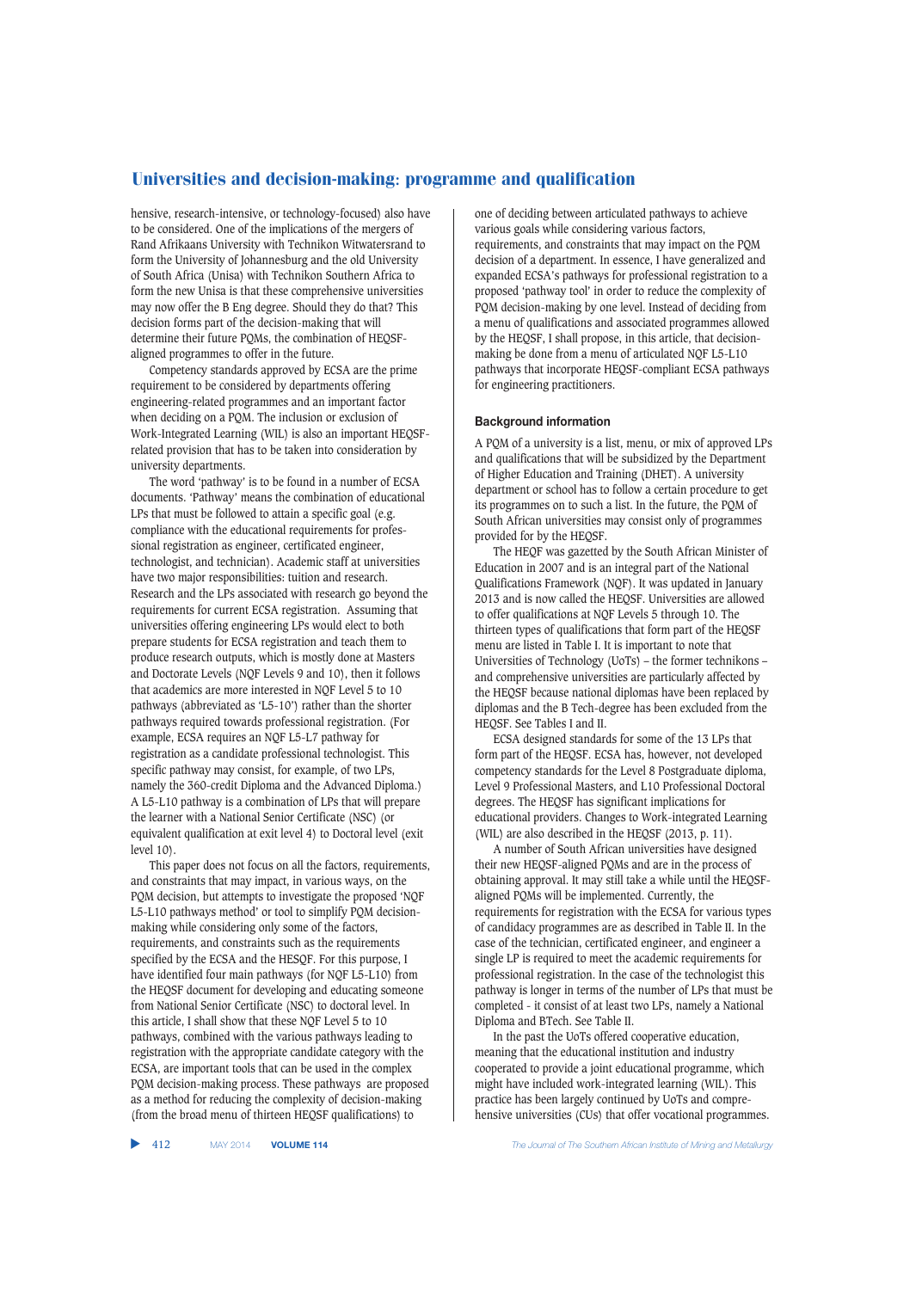hensive, research-intensive, or technology-focused) also have to be considered. One of the implications of the mergers of Rand Afrikaans University with Technikon Witwatersrand to form the University of Johannesburg and the old University of South Africa (Unisa) with Technikon Southern Africa to form the new Unisa is that these comprehensive universities may now offer the B Eng degree. Should they do that? This decision forms part of the decision-making that will determine their future PQMs, the combination of HEQSFaligned programmes to offer in the future.

Competency standards approved by ECSA are the prime requirement to be considered by departments offering engineering-related programmes and an important factor when deciding on a PQM. The inclusion or exclusion of Work-Integrated Learning (WIL) is also an important HEQSFrelated provision that has to be taken into consideration by university departments.

The word 'pathway' is to be found in a number of ECSA documents. 'Pathway' means the combination of educational LPs that must be followed to attain a specific goal (e.g. compliance with the educational requirements for professional registration as engineer, certificated engineer, technologist, and technician). Academic staff at universities have two major responsibilities: tuition and research. Research and the LPs associated with research go beyond the requirements for current ECSA registration. Assuming that universities offering engineering LPs would elect to both prepare students for ECSA registration and teach them to produce research outputs, which is mostly done at Masters and Doctorate Levels (NQF Levels 9 and 10), then it follows that academics are more interested in NQF Level 5 to 10 pathways (abbreviated as 'L5-10') rather than the shorter pathways required towards professional registration. (For example, ECSA requires an NQF L5-L7 pathway for registration as a candidate professional technologist. This specific pathway may consist, for example, of two LPs, namely the 360-credit Diploma and the Advanced Diploma.) A L5-L10 pathway is a combination of LPs that will prepare the learner with a National Senior Certificate (NSC) (or equivalent qualification at exit level 4) to Doctoral level (exit level 10).

This paper does not focus on all the factors, requirements, and constraints that may impact, in various ways, on the PQM decision, but attempts to investigate the proposed 'NQF L5-L10 pathways method' or tool to simplify PQM decisionmaking while considering only some of the factors, requirements, and constraints such as the requirements specified by the ECSA and the HESQF. For this purpose, I have identified four main pathways (for NQF L5-L10) from the HEQSF document for developing and educating someone from National Senior Certificate (NSC) to doctoral level. In this article, I shall show that these NQF Level 5 to 10 pathways, combined with the various pathways leading to registration with the appropriate candidate category with the ECSA, are important tools that can be used in the complex PQM decision-making process. These pathways are proposed as a method for reducing the complexity of decision-making (from the broad menu of thirteen HEQSF qualifications) to

one of deciding between articulated pathways to achieve various goals while considering various factors, requirements, and constraints that may impact on the PQM decision of a department. In essence, I have generalized and expanded ECSA's pathways for professional registration to a proposed 'pathway tool' in order to reduce the complexity of PQM decision-making by one level. Instead of deciding from a menu of qualifications and associated programmes allowed by the HEQSF, I shall propose, in this article, that decisionmaking be done from a menu of articulated NQF L5-L10 pathways that incorporate HEQSF-compliant ECSA pathways for engineering practitioners.

#### **Background information**

A PQM of a university is a list, menu, or mix of approved LPs and qualifications that will be subsidized by the Department of Higher Education and Training (DHET). A university department or school has to follow a certain procedure to get its programmes on to such a list. In the future, the PQM of South African universities may consist only of programmes provided for by the HEQSF.

The HEQF was gazetted by the South African Minister of Education in 2007 and is an integral part of the National Qualifications Framework (NQF). It was updated in January 2013 and is now called the HEQSF. Universities are allowed to offer qualifications at NQF Levels 5 through 10. The thirteen types of qualifications that form part of the HEQSF menu are listed in Table I. It is important to note that Universities of Technology (UoTs) – the former technikons – and comprehensive universities are particularly affected by the HEQSF because national diplomas have been replaced by diplomas and the B Tech-degree has been excluded from the HEQSF. See Tables I and II.

ECSA designed standards for some of the 13 LPs that form part of the HEQSF. ECSA has, however, not developed competency standards for the Level 8 Postgraduate diploma, Level 9 Professional Masters, and L10 Professional Doctoral degrees. The HEQSF has significant implications for educational providers. Changes to Work-integrated Learning (WIL) are also described in the HEQSF (2013, p. 11).

A number of South African universities have designed their new HEQSF-aligned PQMs and are in the process of obtaining approval. It may still take a while until the HEQSFaligned PQMs will be implemented. Currently, the requirements for registration with the ECSA for various types of candidacy programmes are as described in Table II. In the case of the technician, certificated engineer, and engineer a single LP is required to meet the academic requirements for professional registration. In the case of the technologist this pathway is longer in terms of the number of LPs that must be completed - it consist of at least two LPs, namely a National Diploma and BTech. See Table II.

In the past the UoTs offered cooperative education, meaning that the educational institution and industry cooperated to provide a joint educational programme, which might have included work-integrated learning (WIL). This practice has been largely continued by UoTs and comprehensive universities (CUs) that offer vocational programmes.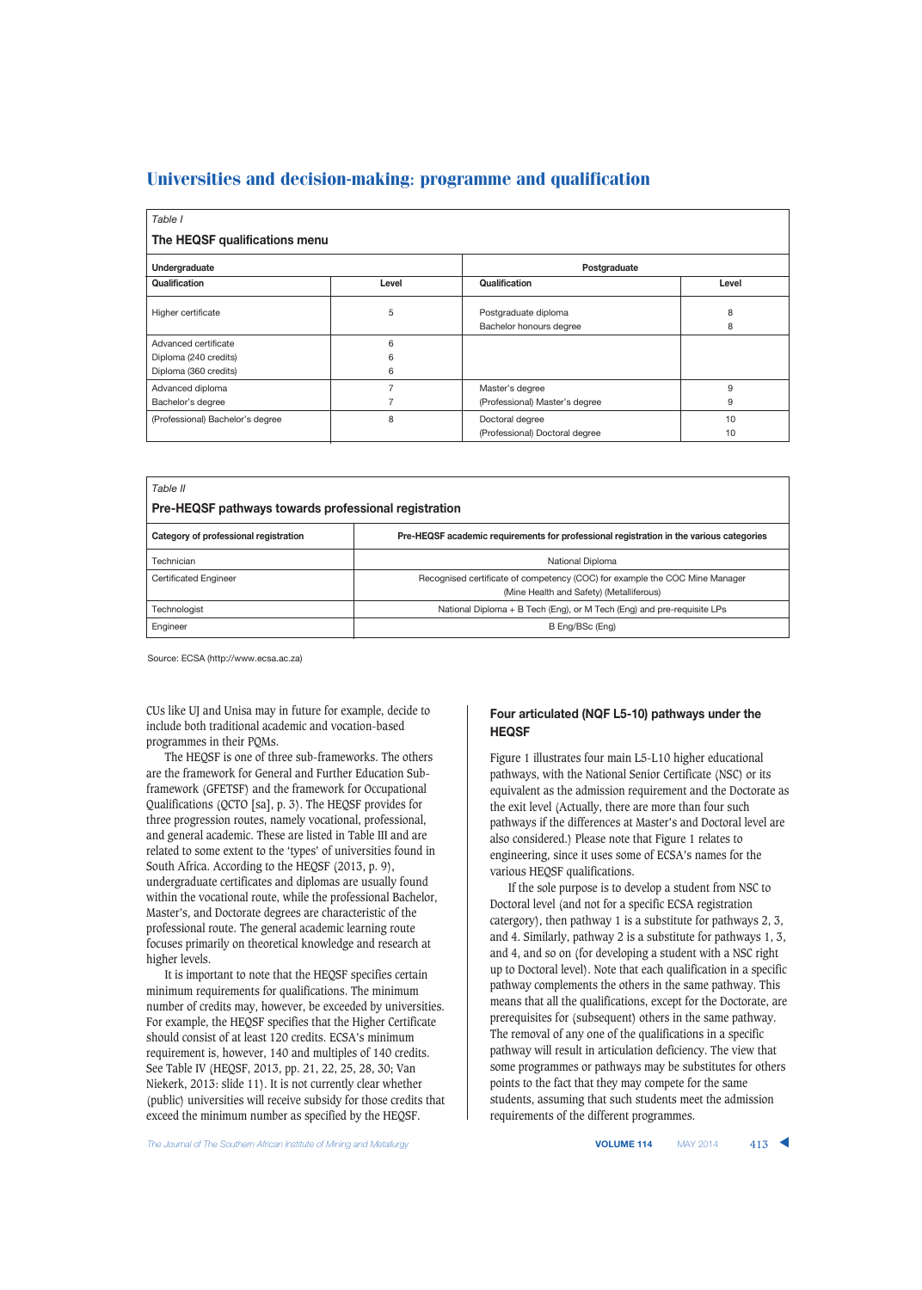| Table I                                                                |                |                                                   |          |  |  |  |
|------------------------------------------------------------------------|----------------|---------------------------------------------------|----------|--|--|--|
| The HEQSF qualifications menu                                          |                |                                                   |          |  |  |  |
| Undergraduate                                                          |                | Postgraduate                                      |          |  |  |  |
| Qualification                                                          | Level          | Qualification                                     | Level    |  |  |  |
| Higher certificate                                                     | 5              | Postgraduate diploma<br>Bachelor honours degree   | 8<br>8   |  |  |  |
| Advanced certificate<br>Diploma (240 credits)<br>Diploma (360 credits) | 6<br>6<br>6    |                                                   |          |  |  |  |
| Advanced diploma<br>Bachelor's degree                                  | $\overline{7}$ | Master's degree<br>(Professional) Master's degree | 9<br>9   |  |  |  |
| (Professional) Bachelor's degree                                       | 8              | Doctoral degree<br>(Professional) Doctoral degree | 10<br>10 |  |  |  |

| Table II<br>Pre-HEQSF pathways towards professional registration |                                                                                                                         |  |  |  |
|------------------------------------------------------------------|-------------------------------------------------------------------------------------------------------------------------|--|--|--|
| Category of professional registration                            | Pre-HEQSF academic requirements for professional registration in the various categories                                 |  |  |  |
| Technician                                                       | National Diploma                                                                                                        |  |  |  |
| <b>Certificated Engineer</b>                                     | Recognised certificate of competency (COC) for example the COC Mine Manager<br>(Mine Health and Safety) (Metalliferous) |  |  |  |
| Technologist                                                     | National Diploma + B Tech (Eng), or M Tech (Eng) and pre-requisite LPs                                                  |  |  |  |
| Engineer                                                         | B Eng/BSc (Eng)                                                                                                         |  |  |  |

Source: ECSA (http://www.ecsa.ac.za)

CUs like UJ and Unisa may in future for example, decide to include both traditional academic and vocation-based programmes in their PQMs.

The HEQSF is one of three sub-frameworks. The others are the framework for General and Further Education Subframework (GFETSF) and the framework for Occupational Qualifications (QCTO [sa], p. 3). The HEQSF provides for three progression routes, namely vocational, professional, and general academic. These are listed in Table III and are related to some extent to the 'types' of universities found in South Africa. According to the HEQSF (2013, p. 9), undergraduate certificates and diplomas are usually found within the vocational route, while the professional Bachelor, Master's, and Doctorate degrees are characteristic of the professional route. The general academic learning route focuses primarily on theoretical knowledge and research at higher levels.

It is important to note that the HEQSF specifies certain minimum requirements for qualifications. The minimum number of credits may, however, be exceeded by universities. For example, the HEQSF specifies that the Higher Certificate should consist of at least 120 credits. ECSA's minimum requirement is, however, 140 and multiples of 140 credits. See Table IV (HEQSF, 2013, pp. 21, 22, 25, 28, 30; Van Niekerk, 2013: slide 11). It is not currently clear whether (public) universities will receive subsidy for those credits that exceed the minimum number as specified by the HEQSF.

## **Four articulated (NQF L5-10) pathways under the HEQSF**

Figure 1 illustrates four main L5-L10 higher educational pathways, with the National Senior Certificate (NSC) or its equivalent as the admission requirement and the Doctorate as the exit level (Actually, there are more than four such pathways if the differences at Master's and Doctoral level are also considered.) Please note that Figure 1 relates to engineering, since it uses some of ECSA's names for the various HEQSF qualifications.

If the sole purpose is to develop a student from NSC to Doctoral level (and not for a specific ECSA registration catergory), then pathway 1 is a substitute for pathways 2, 3, and 4. Similarly, pathway 2 is a substitute for pathways 1, 3, and 4, and so on (for developing a student with a NSC right up to Doctoral level). Note that each qualification in a specific pathway complements the others in the same pathway. This means that all the qualifications, except for the Doctorate, are prerequisites for (subsequent) others in the same pathway. The removal of any one of the qualifications in a specific pathway will result in articulation deficiency. The view that some programmes or pathways may be substitutes for others points to the fact that they may compete for the same students, assuming that such students meet the admission requirements of the different programmes.

The Journal of The Southern African Institute of Mining and Metallurgy **VOLUME 114** MAY 2014 413 **▲**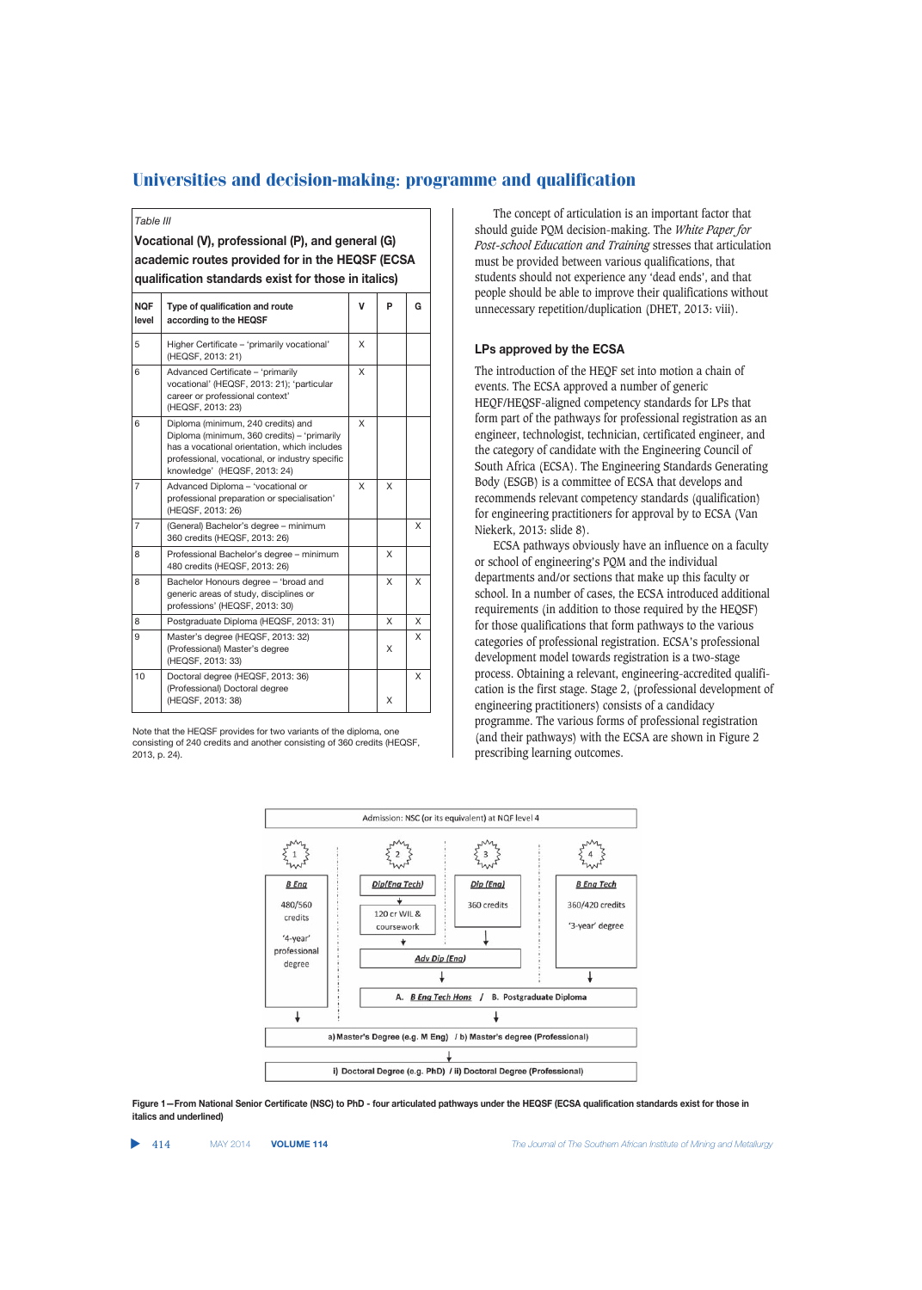*Table III*

**Vocational (V), professional (P), and general (G) academic routes provided for in the HEQSF (ECSA qualification standards exist for those in italics)**

| <b>NOF</b><br>level | Type of qualification and route<br>according to the HEQSF                                                                                                                                                           | V | P | G |
|---------------------|---------------------------------------------------------------------------------------------------------------------------------------------------------------------------------------------------------------------|---|---|---|
| 5                   | Higher Certificate - 'primarily vocational'<br>(HEQSF, 2013: 21)                                                                                                                                                    | X |   |   |
| 6                   | Advanced Certificate - 'primarily<br>vocational' (HEQSF, 2013: 21); 'particular<br>career or professional context'<br>(HEQSF, 2013: 23)                                                                             | X |   |   |
| 6                   | Diploma (minimum, 240 credits) and<br>Diploma (minimum, 360 credits) - 'primarily<br>has a vocational orientation, which includes<br>professional, vocational, or industry specific<br>knowledge' (HEQSF, 2013: 24) | X |   |   |
| $\overline{7}$      | Advanced Diploma - 'vocational or<br>professional preparation or specialisation'<br>(HEQSF, 2013: 26)                                                                                                               | X | X |   |
| $\overline{7}$      | (General) Bachelor's degree - minimum<br>360 credits (HEQSF, 2013: 26)                                                                                                                                              |   |   | X |
| 8                   | Professional Bachelor's degree - minimum<br>480 credits (HEQSF, 2013: 26)                                                                                                                                           |   | X |   |
| 8                   | Bachelor Honours degree - 'broad and<br>generic areas of study, disciplines or<br>professions' (HEQSF, 2013: 30)                                                                                                    |   | X | X |
| 8                   | Postgraduate Diploma (HEQSF, 2013: 31)                                                                                                                                                                              |   | X | X |
| 9                   | Master's degree (HEQSF, 2013: 32)<br>(Professional) Master's degree<br>(HEQSF, 2013: 33)                                                                                                                            |   | X | X |
| 10                  | Doctoral degree (HEQSF, 2013: 36)<br>(Professional) Doctoral degree<br>(HEQSF, 2013: 38)                                                                                                                            |   | X | X |

Note that the HEQSF provides for two variants of the diploma, one consisting of 240 credits and another consisting of 360 credits (HEQSF, 2013, p. 24).

The concept of articulation is an important factor that should guide PQM decision-making. The *White Paper for Post-school Education and Training* stresses that articulation must be provided between various qualifications, that students should not experience any 'dead ends', and that people should be able to improve their qualifications without unnecessary repetition/duplication (DHET, 2013: viii).

#### **LPs approved by the ECSA**

The introduction of the HEQF set into motion a chain of events. The ECSA approved a number of generic HEQF/HEQSF-aligned competency standards for LPs that form part of the pathways for professional registration as an engineer, technologist, technician, certificated engineer, and the category of candidate with the Engineering Council of South Africa (ECSA). The Engineering Standards Generating Body (ESGB) is a committee of ECSA that develops and recommends relevant competency standards (qualification) for engineering practitioners for approval by to ECSA (Van Niekerk, 2013: slide 8).

ECSA pathways obviously have an influence on a faculty or school of engineering's PQM and the individual departments and/or sections that make up this faculty or school. In a number of cases, the ECSA introduced additional requirements (in addition to those required by the HEQSF) for those qualifications that form pathways to the various categories of professional registration. ECSA's professional development model towards registration is a two-stage process. Obtaining a relevant, engineering-accredited qualification is the first stage. Stage 2, (professional development of engineering practitioners) consists of a candidacy programme. The various forms of professional registration (and their pathways) with the ECSA are shown in Figure 2 prescribing learning outcomes.



**Figure 1—From National Senior Certificate (NSC) to PhD - four articulated pathways under the HEQSF (ECSA qualification standards exist for those in italics and underlined)**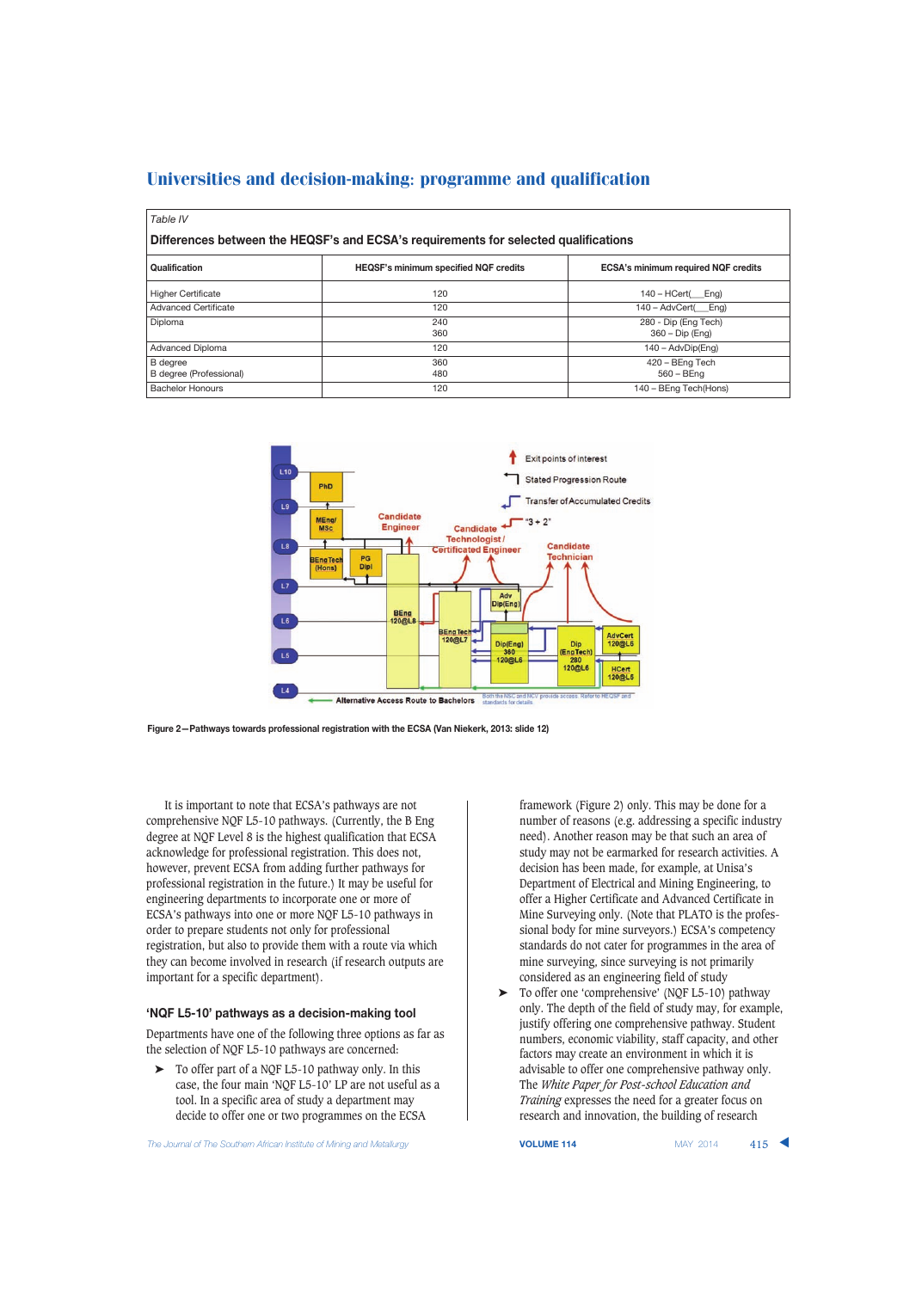| Table IV                                                                            |                                              |                                            |  |  |  |
|-------------------------------------------------------------------------------------|----------------------------------------------|--------------------------------------------|--|--|--|
| Differences between the HEQSF's and ECSA's requirements for selected qualifications |                                              |                                            |  |  |  |
| Qualification                                                                       | <b>HEQSF's minimum specified NQF credits</b> | <b>ECSA's minimum required NQF credits</b> |  |  |  |
| <b>Higher Certificate</b>                                                           | 120                                          | $140 - HCert($ Eng)                        |  |  |  |
| <b>Advanced Certificate</b>                                                         | 120                                          | 140 – AdvCert(<br>Eng)                     |  |  |  |
| Diploma                                                                             | 240<br>360                                   | 280 - Dip (Eng Tech)<br>360 - Dip (Eng)    |  |  |  |
| Advanced Diploma                                                                    | 120                                          | $140 - \text{AdvDip(Eng)}$                 |  |  |  |
| <b>B</b> degree<br>B degree (Professional)                                          | 360<br>480                                   | 420 - BEng Tech<br>$560 - \text{BEng}$     |  |  |  |
| <b>Bachelor Honours</b>                                                             | 120                                          | 140 - BEng Tech(Hons)                      |  |  |  |



**Figure 2—Pathways towards professional registration with the ECSA (Van Niekerk, 2013: slide 12)**

It is important to note that ECSA's pathways are not comprehensive NQF L5-10 pathways. (Currently, the B Eng degree at NQF Level 8 is the highest qualification that ECSA acknowledge for professional registration. This does not, however, prevent ECSA from adding further pathways for professional registration in the future.) It may be useful for engineering departments to incorporate one or more of ECSA's pathways into one or more NQF L5-10 pathways in order to prepare students not only for professional registration, but also to provide them with a route via which they can become involved in research (if research outputs are important for a specific department).

## **'NQF L5-10' pathways as a decision-making tool**

Departments have one of the following three options as far as the selection of NQF L5-10 pathways are concerned:

➤ To offer part of a NQF L5-10 pathway only. In this case, the four main 'NQF L5-10' LP are not useful as a tool. In a specific area of study a department may decide to offer one or two programmes on the ECSA

framework (Figure 2) only. This may be done for a number of reasons (e.g. addressing a specific industry need). Another reason may be that such an area of study may not be earmarked for research activities. A decision has been made, for example, at Unisa's Department of Electrical and Mining Engineering, to offer a Higher Certificate and Advanced Certificate in Mine Surveying only. (Note that PLATO is the professional body for mine surveyors.) ECSA's competency standards do not cater for programmes in the area of mine surveying, since surveying is not primarily considered as an engineering field of study

➤ To offer one 'comprehensive' (NQF L5-10) pathway only. The depth of the field of study may, for example, justify offering one comprehensive pathway. Student numbers, economic viability, staff capacity, and other factors may create an environment in which it is advisable to offer one comprehensive pathway only. The *White Paper for Post-school Education and Training* expresses the need for a greater focus on research and innovation, the building of research

The Journal of The Southern African Institute of Mining and Metallurgy **VOLUME 114 VOLUME 114** MAY 2014 415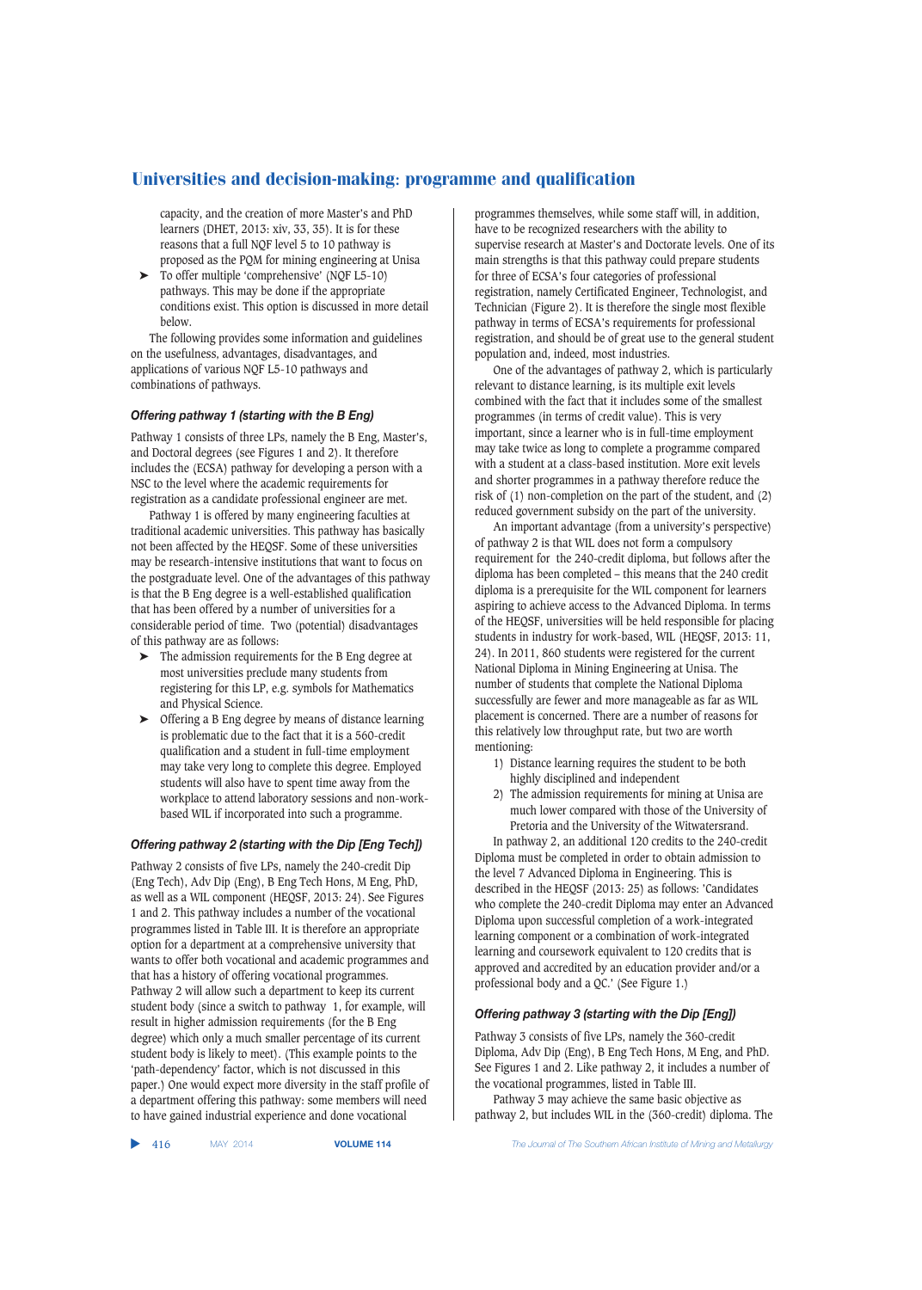capacity, and the creation of more Master's and PhD learners (DHET, 2013: xiv, 33, 35). It is for these reasons that a full NQF level 5 to 10 pathway is proposed as the PQM for mining engineering at Unisa

➤ To offer multiple 'comprehensive' (NQF L5-10) pathways. This may be done if the appropriate conditions exist. This option is discussed in more detail below.

The following provides some information and guidelines on the usefulness, advantages, disadvantages, and applications of various NQF L5-10 pathways and combinations of pathways.

#### *Offering pathway 1 (starting with the B Eng)*

Pathway 1 consists of three LPs, namely the B Eng, Master's, and Doctoral degrees (see Figures 1 and 2). It therefore includes the (ECSA) pathway for developing a person with a NSC to the level where the academic requirements for registration as a candidate professional engineer are met.

Pathway 1 is offered by many engineering faculties at traditional academic universities. This pathway has basically not been affected by the HEQSF. Some of these universities may be research-intensive institutions that want to focus on the postgraduate level. One of the advantages of this pathway is that the B Eng degree is a well-established qualification that has been offered by a number of universities for a considerable period of time. Two (potential) disadvantages of this pathway are as follows:

- ➤ The admission requirements for the B Eng degree at most universities preclude many students from registering for this LP, e.g. symbols for Mathematics and Physical Science.
- ➤ Offering a B Eng degree by means of distance learning is problematic due to the fact that it is a 560-credit qualification and a student in full-time employment may take very long to complete this degree. Employed students will also have to spent time away from the workplace to attend laboratory sessions and non-workbased WIL if incorporated into such a programme.

## *Offering pathway 2 (starting with the Dip [Eng Tech])*

Pathway 2 consists of five LPs, namely the 240-credit Dip (Eng Tech), Adv Dip (Eng), B Eng Tech Hons, M Eng, PhD, as well as a WIL component (HEQSF, 2013: 24). See Figures 1 and 2. This pathway includes a number of the vocational programmes listed in Table III. It is therefore an appropriate option for a department at a comprehensive university that wants to offer both vocational and academic programmes and that has a history of offering vocational programmes. Pathway 2 will allow such a department to keep its current student body (since a switch to pathway 1, for example, will result in higher admission requirements (for the B Eng degree) which only a much smaller percentage of its current student body is likely to meet). (This example points to the 'path-dependency' factor, which is not discussed in this paper.) One would expect more diversity in the staff profile of a department offering this pathway: some members will need to have gained industrial experience and done vocational

programmes themselves, while some staff will, in addition, have to be recognized researchers with the ability to supervise research at Master's and Doctorate levels. One of its main strengths is that this pathway could prepare students for three of ECSA's four categories of professional registration, namely Certificated Engineer, Technologist, and Technician (Figure 2). It is therefore the single most flexible pathway in terms of ECSA's requirements for professional registration, and should be of great use to the general student population and, indeed, most industries.

One of the advantages of pathway 2, which is particularly relevant to distance learning, is its multiple exit levels combined with the fact that it includes some of the smallest programmes (in terms of credit value). This is very important, since a learner who is in full-time employment may take twice as long to complete a programme compared with a student at a class-based institution. More exit levels and shorter programmes in a pathway therefore reduce the risk of (1) non-completion on the part of the student, and (2) reduced government subsidy on the part of the university.

An important advantage (from a university's perspective) of pathway 2 is that WIL does not form a compulsory requirement for the 240-credit diploma, but follows after the diploma has been completed – this means that the 240 credit diploma is a prerequisite for the WIL component for learners aspiring to achieve access to the Advanced Diploma. In terms of the HEQSF, universities will be held responsible for placing students in industry for work-based, WIL (HEQSF, 2013: 11, 24). In 2011, 860 students were registered for the current National Diploma in Mining Engineering at Unisa. The number of students that complete the National Diploma successfully are fewer and more manageable as far as WIL placement is concerned. There are a number of reasons for this relatively low throughput rate, but two are worth mentioning:

- 1) Distance learning requires the student to be both highly disciplined and independent
- 2) The admission requirements for mining at Unisa are much lower compared with those of the University of Pretoria and the University of the Witwatersrand.

In pathway 2, an additional 120 credits to the 240-credit Diploma must be completed in order to obtain admission to the level 7 Advanced Diploma in Engineering. This is described in the HEQSF (2013: 25) as follows: 'Candidates who complete the 240-credit Diploma may enter an Advanced Diploma upon successful completion of a work-integrated learning component or a combination of work-integrated learning and coursework equivalent to 120 credits that is approved and accredited by an education provider and/or a professional body and a QC.' (See Figure 1.)

#### *Offering pathway 3 (starting with the Dip [Eng])*

Pathway 3 consists of five LPs, namely the 360-credit Diploma, Adv Dip (Eng), B Eng Tech Hons, M Eng, and PhD. See Figures 1 and 2. Like pathway 2, it includes a number of the vocational programmes, listed in Table III.

Pathway 3 may achieve the same basic objective as pathway 2, but includes WIL in the (360-credit) diploma. The

▲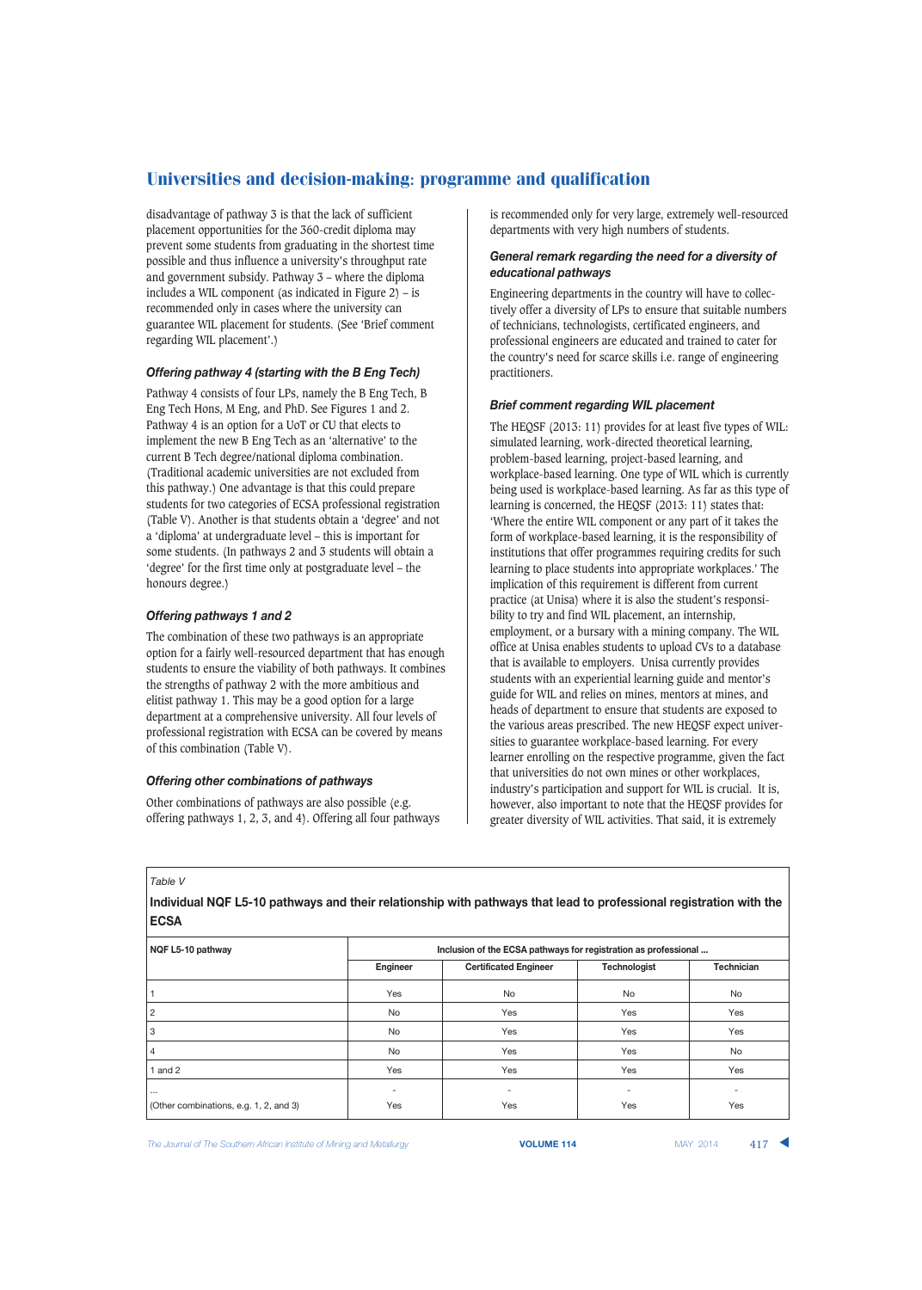disadvantage of pathway 3 is that the lack of sufficient placement opportunities for the 360-credit diploma may prevent some students from graduating in the shortest time possible and thus influence a university's throughput rate and government subsidy. Pathway 3 – where the diploma includes a WIL component (as indicated in Figure  $2$ ) – is recommended only in cases where the university can guarantee WIL placement for students. (See 'Brief comment regarding WIL placement'.)

#### *Offering pathway 4 (starting with the B Eng Tech)*

Pathway 4 consists of four LPs, namely the B Eng Tech, B Eng Tech Hons, M Eng, and PhD. See Figures 1 and 2. Pathway 4 is an option for a UoT or CU that elects to implement the new B Eng Tech as an 'alternative' to the current B Tech degree/national diploma combination. (Traditional academic universities are not excluded from this pathway.) One advantage is that this could prepare students for two categories of ECSA professional registration (Table V). Another is that students obtain a 'degree' and not a 'diploma' at undergraduate level – this is important for some students. (In pathways 2 and 3 students will obtain a 'degree' for the first time only at postgraduate level – the honours degree.)

#### *Offering pathways 1 and 2*

The combination of these two pathways is an appropriate option for a fairly well-resourced department that has enough students to ensure the viability of both pathways. It combines the strengths of pathway 2 with the more ambitious and elitist pathway 1. This may be a good option for a large department at a comprehensive university. All four levels of professional registration with ECSA can be covered by means of this combination (Table V).

#### *Offering other combinations of pathways*

Other combinations of pathways are also possible (e.g. offering pathways 1, 2, 3, and 4). Offering all four pathways is recommended only for very large, extremely well-resourced departments with very high numbers of students.

#### *General remark regarding the need for a diversity of educational pathways*

Engineering departments in the country will have to collectively offer a diversity of LPs to ensure that suitable numbers of technicians, technologists, certificated engineers, and professional engineers are educated and trained to cater for the country's need for scarce skills i.e. range of engineering practitioners.

#### *Brief comment regarding WIL placement*

The HEQSF (2013: 11) provides for at least five types of WIL: simulated learning, work-directed theoretical learning, problem-based learning, project-based learning, and workplace-based learning. One type of WIL which is currently being used is workplace-based learning. As far as this type of learning is concerned, the HEQSF (2013: 11) states that: 'Where the entire WIL component or any part of it takes the form of workplace-based learning, it is the responsibility of institutions that offer programmes requiring credits for such learning to place students into appropriate workplaces.' The implication of this requirement is different from current practice (at Unisa) where it is also the student's responsibility to try and find WIL placement, an internship, employment, or a bursary with a mining company. The WIL office at Unisa enables students to upload CVs to a database that is available to employers. Unisa currently provides students with an experiential learning guide and mentor's guide for WIL and relies on mines, mentors at mines, and heads of department to ensure that students are exposed to the various areas prescribed. The new HEQSF expect universities to guarantee workplace-based learning. For every learner enrolling on the respective programme, given the fact that universities do not own mines or other workplaces, industry's participation and support for WIL is crucial. It is, however, also important to note that the HEQSF provides for greater diversity of WIL activities. That said, it is extremely

#### *Table V*

**Individual NQF L5-10 pathways and their relationship with pathways that lead to professional registration with the ECSA NQF L5-10 pathway Inclusion of the ECSA pathways for registration as professional ...** 

| . .<br>. .                             | $\sim$   |                              |                          |                   |
|----------------------------------------|----------|------------------------------|--------------------------|-------------------|
|                                        | Engineer | <b>Certificated Engineer</b> | Technologist             | <b>Technician</b> |
|                                        | Yes      | No                           | No                       | No                |
| 2                                      | No       | Yes                          | Yes                      | Yes               |
| 3                                      | No       | Yes                          | Yes                      | Yes               |
| 4                                      | No       | Yes                          | Yes                      | No                |
| and 2                                  | Yes      | Yes                          | Yes                      | Yes               |
| $\cdots$                               | ۰        | $\overline{\phantom{a}}$     | $\overline{\phantom{a}}$ |                   |
| (Other combinations, e.g. 1, 2, and 3) | Yes      | Yes                          | Yes                      | Yes               |